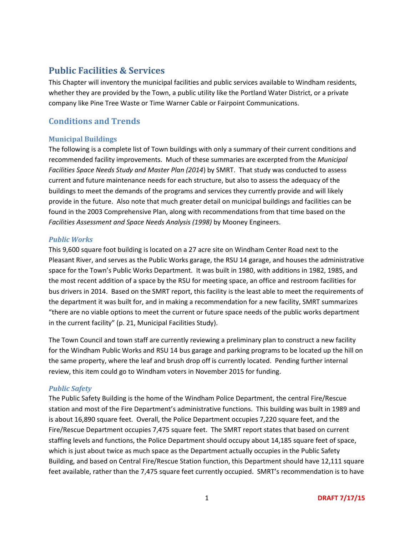# **Public Facilities & Services**

This Chapter will inventory the municipal facilities and public services available to Windham residents, whether they are provided by the Town, a public utility like the Portland Water District, or a private company like Pine Tree Waste or Time Warner Cable or Fairpoint Communications.

## **Conditions and Trends**

## **Municipal Buildings**

The following is a complete list of Town buildings with only a summary of their current conditions and recommended facility improvements. Much of these summaries are excerpted from the *Municipal Facilities Space Needs Study and Master Plan (2014*) by SMRT. That study was conducted to assess current and future maintenance needs for each structure, but also to assess the adequacy of the buildings to meet the demands of the programs and services they currently provide and will likely provide in the future. Also note that much greater detail on municipal buildings and facilities can be found in the 2003 Comprehensive Plan, along with recommendations from that time based on the *Facilities Assessment and Space Needs Analysis (1998)* by Mooney Engineers.

## *Public Works*

This 9,600 square foot building is located on a 27 acre site on Windham Center Road next to the Pleasant River, and serves as the Public Works garage, the RSU 14 garage, and houses the administrative space for the Town's Public Works Department. It was built in 1980, with additions in 1982, 1985, and the most recent addition of a space by the RSU for meeting space, an office and restroom facilities for bus drivers in 2014. Based on the SMRT report, this facility is the least able to meet the requirements of the department it was built for, and in making a recommendation for a new facility, SMRT summarizes "there are no viable options to meet the current or future space needs of the public works department in the current facility" (p. 21, Municipal Facilities Study).

The Town Council and town staff are currently reviewing a preliminary plan to construct a new facility for the Windham Public Works and RSU 14 bus garage and parking programs to be located up the hill on the same property, where the leaf and brush drop off is currently located. Pending further internal review, this item could go to Windham voters in November 2015 for funding.

## *Public Safety*

The Public Safety Building is the home of the Windham Police Department, the central Fire/Rescue station and most of the Fire Department's administrative functions. This building was built in 1989 and is about 16,890 square feet. Overall, the Police Department occupies 7,220 square feet, and the Fire/Rescue Department occupies 7,475 square feet. The SMRT report states that based on current staffing levels and functions, the Police Department should occupy about 14,185 square feet of space, which is just about twice as much space as the Department actually occupies in the Public Safety Building, and based on Central Fire/Rescue Station function, this Department should have 12,111 square feet available, rather than the 7,475 square feet currently occupied. SMRT's recommendation is to have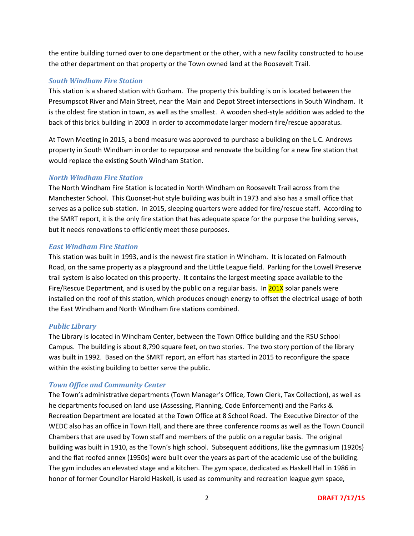the entire building turned over to one department or the other, with a new facility constructed to house the other department on that property or the Town owned land at the Roosevelt Trail.

#### *South Windham Fire Station*

This station is a shared station with Gorham. The property this building is on is located between the Presumpscot River and Main Street, near the Main and Depot Street intersections in South Windham. It is the oldest fire station in town, as well as the smallest. A wooden shed-style addition was added to the back of this brick building in 2003 in order to accommodate larger modern fire/rescue apparatus.

At Town Meeting in 2015, a bond measure was approved to purchase a building on the L.C. Andrews property in South Windham in order to repurpose and renovate the building for a new fire station that would replace the existing South Windham Station.

#### *North Windham Fire Station*

The North Windham Fire Station is located in North Windham on Roosevelt Trail across from the Manchester School. This Quonset-hut style building was built in 1973 and also has a small office that serves as a police sub-station. In 2015, sleeping quarters were added for fire/rescue staff. According to the SMRT report, it is the only fire station that has adequate space for the purpose the building serves, but it needs renovations to efficiently meet those purposes.

#### *East Windham Fire Station*

This station was built in 1993, and is the newest fire station in Windham. It is located on Falmouth Road, on the same property as a playground and the Little League field. Parking for the Lowell Preserve trail system is also located on this property. It contains the largest meeting space available to the Fire/Rescue Department, and is used by the public on a regular basis. In  $201X$  solar panels were installed on the roof of this station, which produces enough energy to offset the electrical usage of both the East Windham and North Windham fire stations combined.

#### *Public Library*

The Library is located in Windham Center, between the Town Office building and the RSU School Campus. The building is about 8,790 square feet, on two stories. The two story portion of the library was built in 1992. Based on the SMRT report, an effort has started in 2015 to reconfigure the space within the existing building to better serve the public.

#### *Town Office and Community Center*

The Town's administrative departments (Town Manager's Office, Town Clerk, Tax Collection), as well as he departments focused on land use (Assessing, Planning, Code Enforcement) and the Parks & Recreation Department are located at the Town Office at 8 School Road. The Executive Director of the WEDC also has an office in Town Hall, and there are three conference rooms as well as the Town Council Chambers that are used by Town staff and members of the public on a regular basis. The original building was built in 1910, as the Town's high school. Subsequent additions, like the gymnasium (1920s) and the flat roofed annex (1950s) were built over the years as part of the academic use of the building. The gym includes an elevated stage and a kitchen. The gym space, dedicated as Haskell Hall in 1986 in honor of former Councilor Harold Haskell, is used as community and recreation league gym space,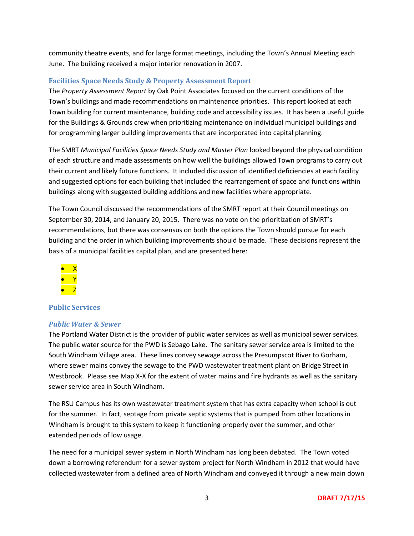community theatre events, and for large format meetings, including the Town's Annual Meeting each June. The building received a major interior renovation in 2007.

### **Facilities Space Needs Study & Property Assessment Report**

The *Property Assessment Report* by Oak Point Associates focused on the current conditions of the Town's buildings and made recommendations on maintenance priorities. This report looked at each Town building for current maintenance, building code and accessibility issues. It has been a useful guide for the Buildings & Grounds crew when prioritizing maintenance on individual municipal buildings and for programming larger building improvements that are incorporated into capital planning.

The SMRT *Municipal Facilities Space Needs Study and Master Plan* looked beyond the physical condition of each structure and made assessments on how well the buildings allowed Town programs to carry out their current and likely future functions. It included discussion of identified deficiencies at each facility and suggested options for each building that included the rearrangement of space and functions within buildings along with suggested building additions and new facilities where appropriate.

The Town Council discussed the recommendations of the SMRT report at their Council meetings on September 30, 2014, and January 20, 2015. There was no vote on the prioritization of SMRT's recommendations, but there was consensus on both the options the Town should pursue for each building and the order in which building improvements should be made. These decisions represent the basis of a municipal facilities capital plan, and are presented here:



#### **Public Services**

#### *Public Water & Sewer*

The Portland Water District is the provider of public water services as well as municipal sewer services. The public water source for the PWD is Sebago Lake. The sanitary sewer service area is limited to the South Windham Village area. These lines convey sewage across the Presumpscot River to Gorham, where sewer mains convey the sewage to the PWD wastewater treatment plant on Bridge Street in Westbrook. Please see Map X-X for the extent of water mains and fire hydrants as well as the sanitary sewer service area in South Windham.

The RSU Campus has its own wastewater treatment system that has extra capacity when school is out for the summer. In fact, septage from private septic systems that is pumped from other locations in Windham is brought to this system to keep it functioning properly over the summer, and other extended periods of low usage.

The need for a municipal sewer system in North Windham has long been debated. The Town voted down a borrowing referendum for a sewer system project for North Windham in 2012 that would have collected wastewater from a defined area of North Windham and conveyed it through a new main down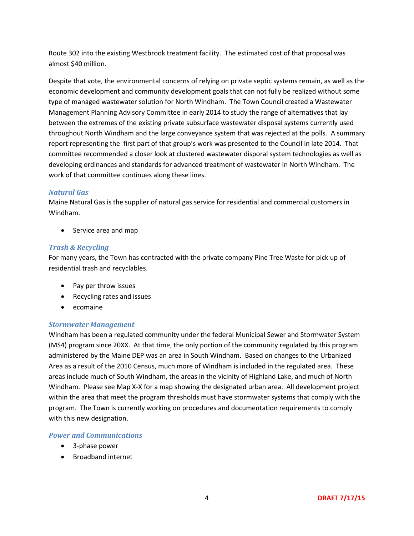Route 302 into the existing Westbrook treatment facility. The estimated cost of that proposal was almost \$40 million.

Despite that vote, the environmental concerns of relying on private septic systems remain, as well as the economic development and community development goals that can not fully be realized without some type of managed wastewater solution for North Windham. The Town Council created a Wastewater Management Planning Advisory Committee in early 2014 to study the range of alternatives that lay between the extremes of the existing private subsurface wastewater disposal systems currently used throughout North Windham and the large conveyance system that was rejected at the polls. A summary report representing the first part of that group's work was presented to the Council in late 2014. That committee recommended a closer look at clustered wastewater disporal system technologies as well as developing ordinances and standards for advanced treatment of wastewater in North Windham. The work of that committee continues along these lines.

#### *Natural Gas*

Maine Natural Gas is the supplier of natural gas service for residential and commercial customers in Windham.

• Service area and map

## *Trash & Recycling*

For many years, the Town has contracted with the private company Pine Tree Waste for pick up of residential trash and recyclables.

- Pay per throw issues
- Recycling rates and issues
- ecomaine

#### *Stormwater Management*

Windham has been a regulated community under the federal Municipal Sewer and Stormwater System (MS4) program since 20XX. At that time, the only portion of the community regulated by this program administered by the Maine DEP was an area in South Windham. Based on changes to the Urbanized Area as a result of the 2010 Census, much more of Windham is included in the regulated area. These areas include much of South Windham, the areas in the vicinity of Highland Lake, and much of North Windham. Please see Map X-X for a map showing the designated urban area. All development project within the area that meet the program thresholds must have stormwater systems that comply with the program. The Town is currently working on procedures and documentation requirements to comply with this new designation.

#### *Power and Communications*

- 3-phase power
- Broadband internet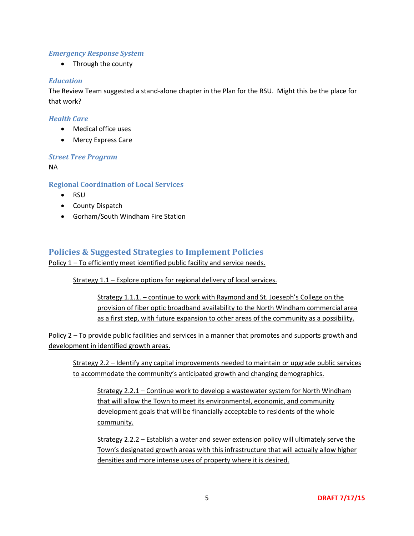## *Emergency Response System*

• Through the county

#### *Education*

The Review Team suggested a stand-alone chapter in the Plan for the RSU. Might this be the place for that work?

### *Health Care*

- Medical office uses
- Mercy Express Care

#### *Street Tree Program*

NA

## **Regional Coordination of Local Services**

- RSU
- County Dispatch
- Gorham/South Windham Fire Station

## **Policies & Suggested Strategies to Implement Policies**

Policy 1 – To efficiently meet identified public facility and service needs.

Strategy 1.1 – Explore options for regional delivery of local services.

Strategy 1.1.1. – continue to work with Raymond and St. Joeseph's College on the provision of fiber optic broadband availability to the North Windham commercial area as a first step, with future expansion to other areas of the community as a possibility.

Policy 2 – To provide public facilities and services in a manner that promotes and supports growth and development in identified growth areas.

Strategy 2.2 – Identify any capital improvements needed to maintain or upgrade public services to accommodate the community's anticipated growth and changing demographics.

Strategy 2.2.1 – Continue work to develop a wastewater system for North Windham that will allow the Town to meet its environmental, economic, and community development goals that will be financially acceptable to residents of the whole community.

Strategy 2.2.2 – Establish a water and sewer extension policy will ultimately serve the Town's designated growth areas with this infrastructure that will actually allow higher densities and more intense uses of property where it is desired.